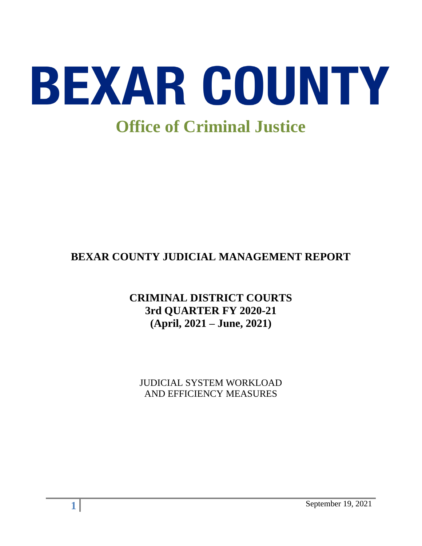

# **BEXAR COUNTY JUDICIAL MANAGEMENT REPORT**

# **CRIMINAL DISTRICT COURTS 3rd QUARTER FY 2020-21 (April, 2021 – June, 2021)**

JUDICIAL SYSTEM WORKLOAD AND EFFICIENCY MEASURES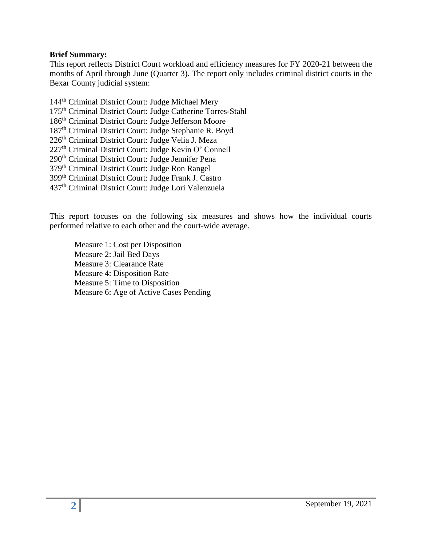#### **Brief Summary:**

This report reflects District Court workload and efficiency measures for FY 2020-21 between the months of April through June (Quarter 3). The report only includes criminal district courts in the Bexar County judicial system:

144<sup>th</sup> Criminal District Court: Judge Michael Mery th Criminal District Court: Judge Catherine Torres-Stahl th Criminal District Court: Judge Jefferson Moore th Criminal District Court: Judge Stephanie R. Boyd 226<sup>th</sup> Criminal District Court: Judge Velia J. Meza th Criminal District Court: Judge Kevin O' Connell 290<sup>th</sup> Criminal District Court: Judge Jennifer Pena th Criminal District Court: Judge Ron Rangel th Criminal District Court: Judge Frank J. Castro th Criminal District Court: Judge Lori Valenzuela

This report focuses on the following six measures and shows how the individual courts performed relative to each other and the court-wide average.

Measure 1: Cost per Disposition Measure 2: Jail Bed Days Measure 3: Clearance Rate Measure 4: Disposition Rate Measure 5: Time to Disposition Measure 6: Age of Active Cases Pending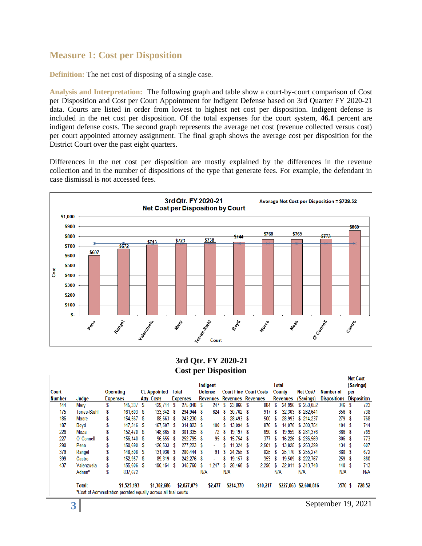### **Measure 1: Cost per Disposition**

**Definition:** The net cost of disposing of a single case.

**Analysis and Interpretation:** The following graph and table show a court-by-court comparison of Cost per Disposition and Cost per Court Appointment for Indigent Defense based on 3rd Quarter FY 2020-21 data. Courts are listed in order from lowest to highest net cost per disposition. Indigent defense is included in the net cost per disposition. Of the total expenses for the court system, **46.1** percent are indigent defense costs. The second graph represents the average net cost (revenue collected versus cost) per court appointed attorney assignment. The final graph shows the average cost per disposition for the District Court over the past eight quarters.

Differences in the net cost per disposition are mostly explained by the differences in the revenue collection and in the number of dispositions of the type that generate fees. For example, the defendant in case dismissal is not accessed fees.



#### **3rd Qtr. FY 2020-21 Cost per Disposition**

|               |                                                                  |                 |                  |   |                      |   |                 |     |                 |      |                          |                               |     |                 |                       |                     |     | <b>Net Cost</b>    |
|---------------|------------------------------------------------------------------|-----------------|------------------|---|----------------------|---|-----------------|-----|-----------------|------|--------------------------|-------------------------------|-----|-----------------|-----------------------|---------------------|-----|--------------------|
|               |                                                                  |                 |                  |   |                      |   |                 |     | Indigent        |      |                          |                               |     | Total           |                       |                     |     | (Savings)          |
| Court         |                                                                  |                 | <b>Operating</b> |   | <b>Ct. Appointed</b> |   | Total           |     | <b>Defense</b>  |      |                          | <b>Court Fine Court Costs</b> |     | County          | <b>Net Cost/</b>      | Number of           | per |                    |
| <b>Number</b> | Judge                                                            | <b>Expenses</b> |                  |   | <b>Atty. Costs</b>   |   | <b>Expenses</b> |     | <b>Revenues</b> |      | <b>Revenues Revenues</b> |                               |     | <b>Revenues</b> | (Savings)             | <b>Dispositions</b> |     | <b>Disposition</b> |
| 144           | Mery                                                             | S               | 145.337          | S | 129.711              | S | 275,048         | S   | 247             | S    | 23.866 \$                | 884                           | S   | 24.996          | \$250,052             | 346                 | -S  | 723                |
| 175           | Torres-Stahl                                                     |                 | 161.603 \$       |   | 133,342              | S | 294.944         | S   | 624             | S    | $30.762$ \$              | 917                           |     | 32.303          | \$262,641             | 356S                |     | 738                |
| 186           | Moore                                                            | S               | 154,567 \$       |   | 88,663               | S | 243.230         | S   | ٠               |      | 28.493 \$                | 500                           |     | 28.993          | \$214,237             | 279 \$              |     | 768                |
| 187           | Boyd                                                             |                 | 147.316 \$       |   | 167,507              | S | 314.823         | s   | 100             | S    | 13,094 \$                | 876                           | S   | 14.070          | \$ 300.754            | 404 \$              |     | 744                |
| 226           | Meza                                                             |                 | 152,470 \$       |   | 148.865              | S | 301.335         | S   |                 | 72 S | 19.197 \$                | 690                           | S   | 19.959          | \$281,376             | 366 S               |     | 769                |
| 227           | O' Connell                                                       |                 | 156.140 \$       |   | 96.655               | s | 252.795         | -S  | 95              |      | $15.754$ \$              | 377                           |     | 16.226          | \$236,569             | 306 \$              |     | 773                |
| 290           | Pena                                                             |                 | 150.690 \$       |   | 126.533              | S | 277.223         | -S  | ۰               |      | $11.324$ \$              | 2,501                         | s   | 13.825          | \$263,399             | 434 \$              |     | 607                |
| 379           | Rangel                                                           |                 | 148.508 \$       |   | 131.936              | S | 280,444         | S   | 91              | Y.   | 24.255 \$                | 825                           |     | 25,170          | \$255.274             | 380 S               |     | 672                |
| 399           | Castro                                                           |                 | 152,957 \$       |   | 89.319               | s | 242,276         | S   | ٠               |      | $19.157$ \$              | 353                           | S   | 19.509          | \$222,767             | 259S                |     | 860                |
| 437           | Valenzuela                                                       |                 | 155,606 \$       |   | 190.154              | S | 345.760         | S   | 1.247           | S    | 28.468 \$                | 2.296                         | S   | 32.011          | \$ 313,748            | 440 \$              |     | 713                |
|               | Admin*                                                           | S               | 837,672          |   |                      |   |                 | N/A |                 | N/A  |                          |                               | N/A |                 | N/A                   | N/A                 |     | N/A                |
|               | Total:                                                           |                 | \$1,525,193      |   | \$1,302,686          |   | \$2,827,879     |     | \$2,477         |      | \$214,370                | \$10,217                      |     |                 | \$227,063 \$2,600,816 | 3570 \$             |     | 728.52             |
|               | *Cost of Administration prorated equally across all trial courts |                 |                  |   |                      |   |                 |     |                 |      |                          |                               |     |                 |                       |                     |     |                    |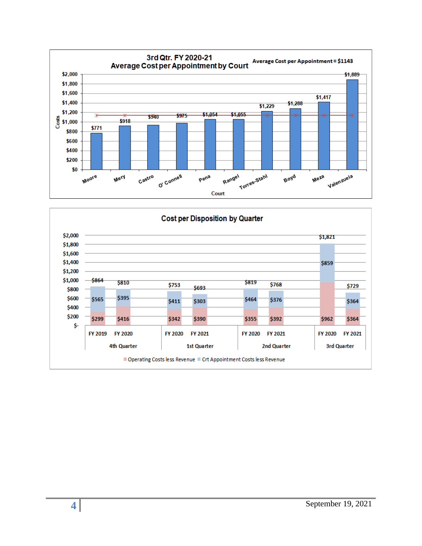

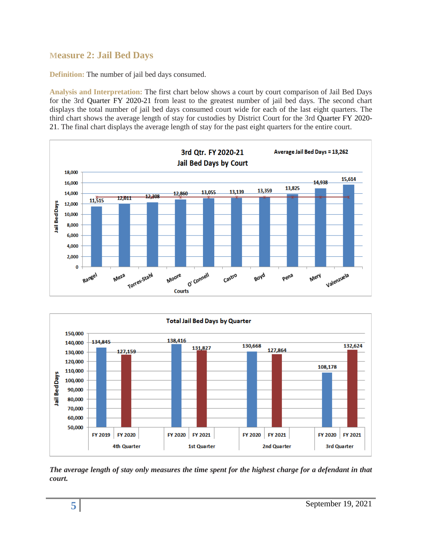# **Measure 2: Jail Bed Days**

**Definition:** The number of jail bed days consumed.

**Analysis and Interpretation:** The first chart below shows a court by court comparison of Jail Bed Days for the 3rd Quarter FY 2020-21 from least to the greatest number of jail bed days. The second chart displays the total number of jail bed days consumed court wide for each of the last eight quarters. The third chart shows the average length of stay for custodies by District Court for the 3rd Quarter FY 2020- 21. The final chart displays the average length of stay for the past eight quarters for the entire court.





*The average length of stay only measures the time spent for the highest charge for a defendant in that court.*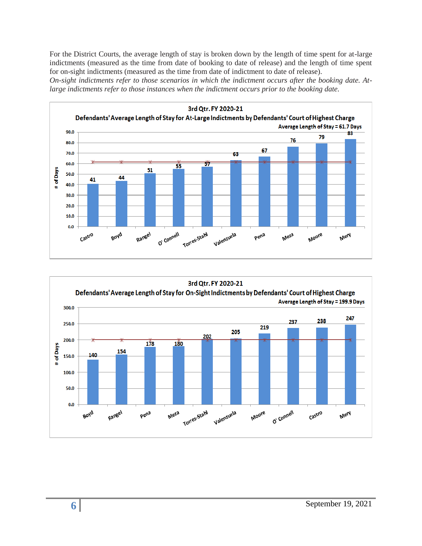For the District Courts, the average length of stay is broken down by the length of time spent for at-large indictments (measured as the time from date of booking to date of release) and the length of time spent for on-sight indictments (measured as the time from date of indictment to date of release).

*On-sight indictments refer to those scenarios in which the indictment occurs after the booking date. Atlarge indictments refer to those instances when the indictment occurs prior to the booking date.* 



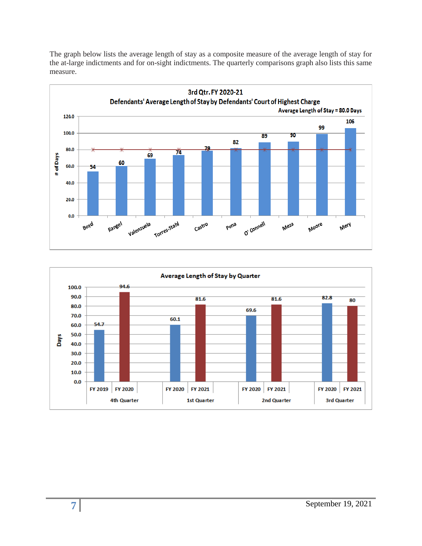The graph below lists the average length of stay as a composite measure of the average length of stay for the at-large indictments and for on-sight indictments. The quarterly comparisons graph also lists this same measure.



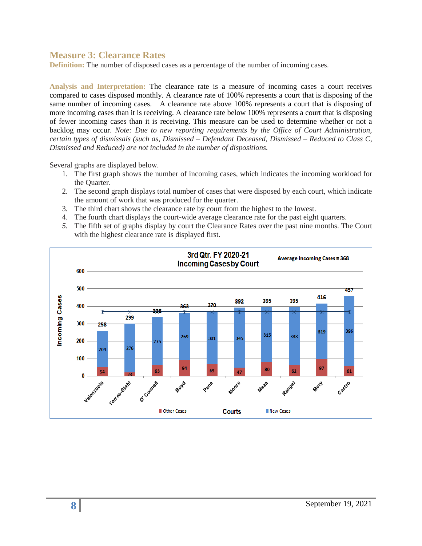### **Measure 3: Clearance Rates**

**Definition:** The number of disposed cases as a percentage of the number of incoming cases.

**Analysis and Interpretation:** The clearance rate is a measure of incoming cases a court receives compared to cases disposed monthly. A clearance rate of 100% represents a court that is disposing of the same number of incoming cases. A clearance rate above 100% represents a court that is disposing of more incoming cases than it is receiving. A clearance rate below 100% represents a court that is disposing of fewer incoming cases than it is receiving. This measure can be used to determine whether or not a backlog may occur. *Note: Due to new reporting requirements by the Office of Court Administration, certain types of dismissals (such as, Dismissed – Defendant Deceased, Dismissed – Reduced to Class C, Dismissed and Reduced) are not included in the number of dispositions.*

Several graphs are displayed below.

- 1. The first graph shows the number of incoming cases, which indicates the incoming workload for the Quarter.
- 2. The second graph displays total number of cases that were disposed by each court, which indicate the amount of work that was produced for the quarter.
- 3. The third chart shows the clearance rate by court from the highest to the lowest.
- 4. The fourth chart displays the court-wide average clearance rate for the past eight quarters.
- *5.* The fifth set of graphs display by court the Clearance Rates over the past nine months. The Court with the highest clearance rate is displayed first.

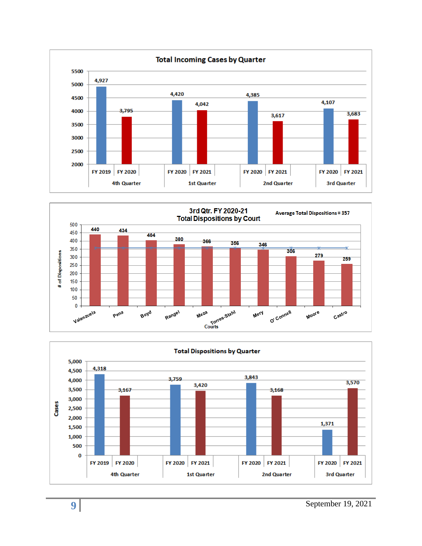



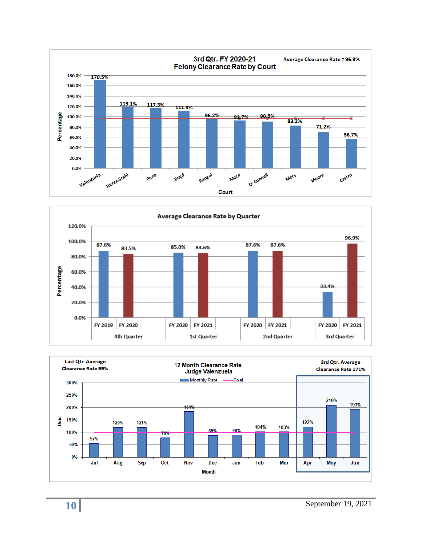



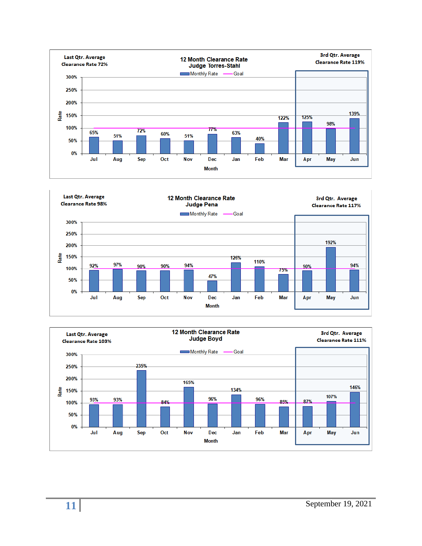



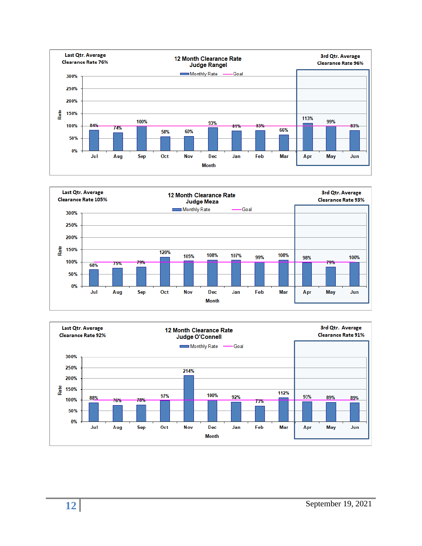



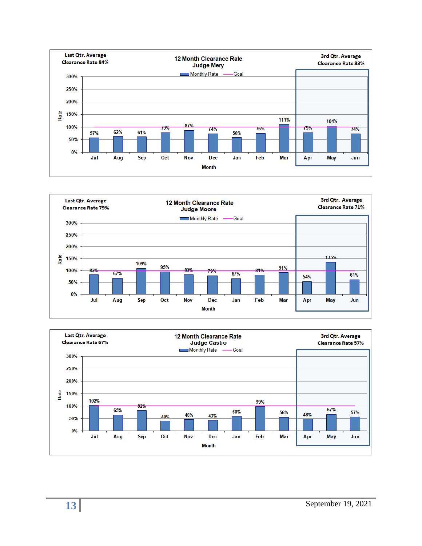



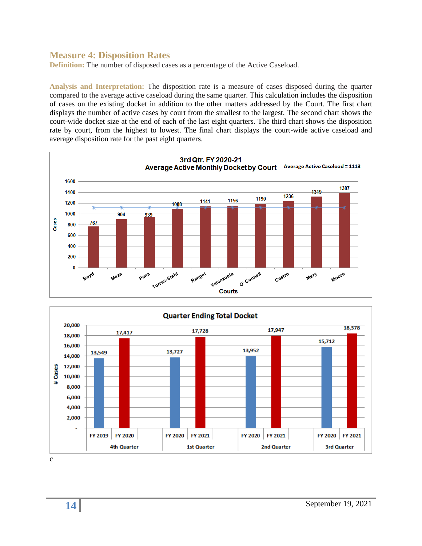### **Measure 4: Disposition Rates**

**Definition:** The number of disposed cases as a percentage of the Active Caseload.

**Analysis and Interpretation:** The disposition rate is a measure of cases disposed during the quarter compared to the average active caseload during the same quarter. This calculation includes the disposition of cases on the existing docket in addition to the other matters addressed by the Court. The first chart displays the number of active cases by court from the smallest to the largest. The second chart shows the court-wide docket size at the end of each of the last eight quarters. The third chart shows the disposition rate by court, from the highest to lowest. The final chart displays the court-wide active caseload and average disposition rate for the past eight quarters.



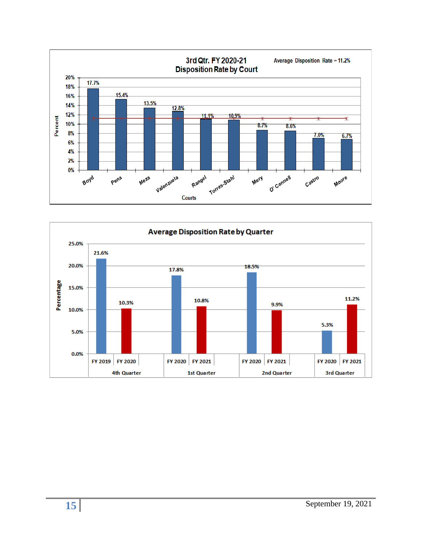

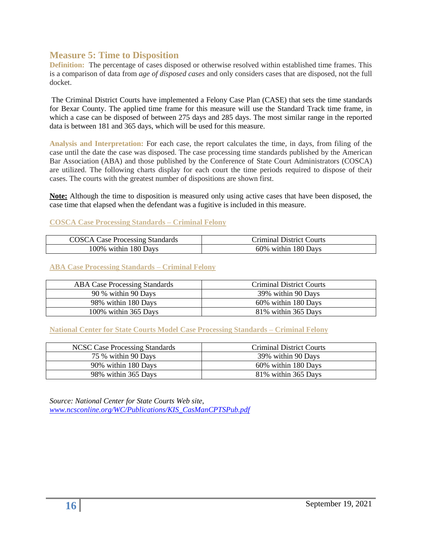### **Measure 5: Time to Disposition**

**Definition:** The percentage of cases disposed or otherwise resolved within established time frames. This is a comparison of data from *age of disposed cases* and only considers cases that are disposed, not the full docket.

The Criminal District Courts have implemented a Felony Case Plan (CASE) that sets the time standards for Bexar County. The applied time frame for this measure will use the Standard Track time frame, in which a case can be disposed of between 275 days and 285 days. The most similar range in the reported data is between 181 and 365 days, which will be used for this measure.

**Analysis and Interpretation:** For each case, the report calculates the time, in days, from filing of the case until the date the case was disposed. The case processing time standards published by the American Bar Association (ABA) and those published by the Conference of State Court Administrators (COSCA) are utilized. The following charts display for each court the time periods required to dispose of their cases. The courts with the greatest number of dispositions are shown first.

**Note:** Although the time to disposition is measured only using active cases that have been disposed, the case time that elapsed when the defendant was a fugitive is included in this measure.

#### **COSCA Case Processing Standards – Criminal Felony**

| <b>COSCA Case Processing Standards</b> | Criminal District Courts |
|----------------------------------------|--------------------------|
| 100% within 180 Days                   | 60% within 180 Days      |

#### **ABA Case Processing Standards – Criminal Felony**

| <b>ABA Case Processing Standards</b> | <b>Criminal District Courts</b> |
|--------------------------------------|---------------------------------|
| 90 % within 90 Days                  | 39% within 90 Days              |
| 98% within 180 Days                  | 60% within 180 Days             |
| 100% within 365 Days                 | 81% within 365 Days             |

**National Center for State Courts Model Case Processing Standards – Criminal Felony**

| NCSC Case Processing Standards | Criminal District Courts |
|--------------------------------|--------------------------|
| 75 % within 90 Days            | 39% within 90 Days       |
| 90% within 180 Days            | 60% within 180 Days      |
| 98% within 365 Days            | 81% within 365 Days      |

*Source: National Center for State Courts Web site, [www.ncsconline.org/WC/Publications/KIS\\_CasManCPTSPub.pdf](http://www.ncsconline.org/WC/Publications/KIS_CasManCPTSPub.pdf)*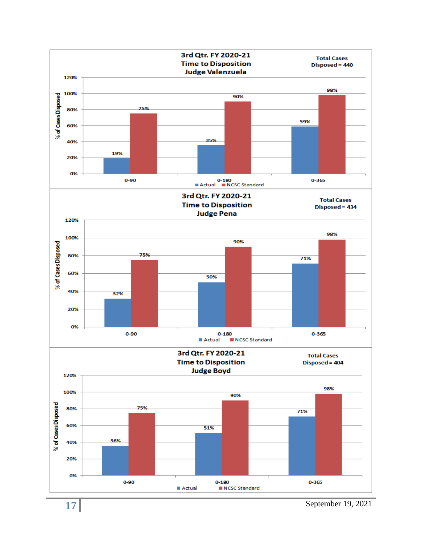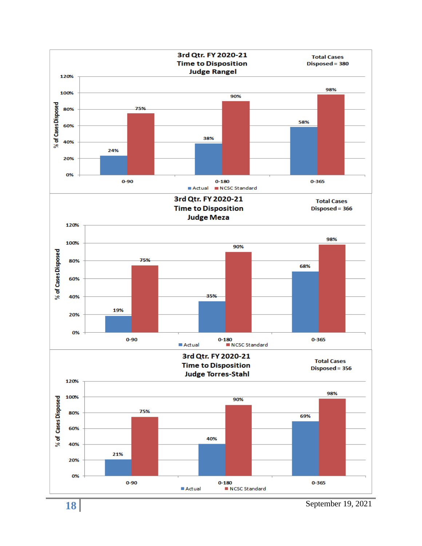

September 19, 2021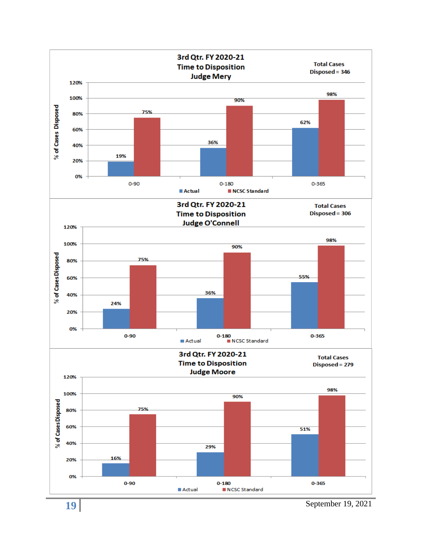

September 19, 2021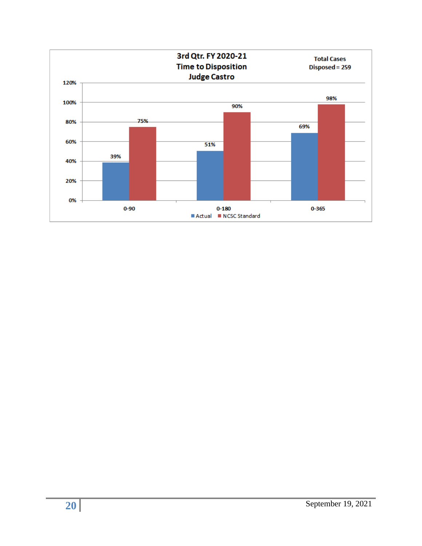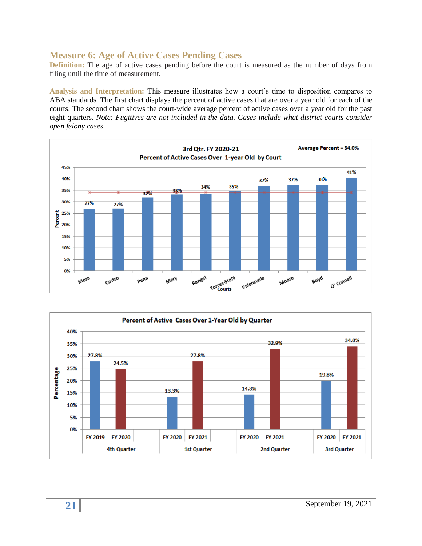## **Measure 6: Age of Active Cases Pending Cases**

**Definition:** The age of active cases pending before the court is measured as the number of days from filing until the time of measurement.

**Analysis and Interpretation:** This measure illustrates how a court's time to disposition compares to ABA standards. The first chart displays the percent of active cases that are over a year old for each of the courts. The second chart shows the court-wide average percent of active cases over a year old for the past eight quarters. *Note: Fugitives are not included in the data. Cases include what district courts consider open felony cases.*



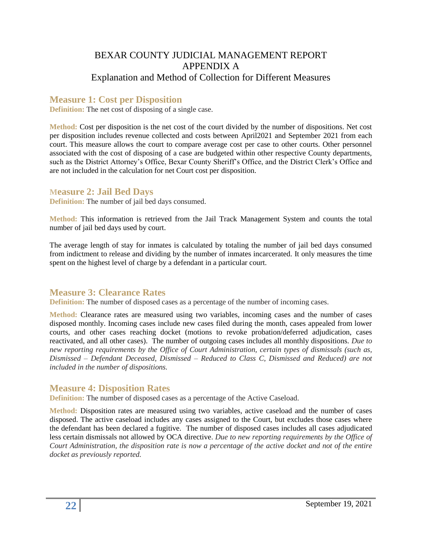# BEXAR COUNTY JUDICIAL MANAGEMENT REPORT APPENDIX A Explanation and Method of Collection for Different Measures

# **Measure 1: Cost per Disposition**

**Definition:** The net cost of disposing of a single case.

**Method:** Cost per disposition is the net cost of the court divided by the number of dispositions. Net cost per disposition includes revenue collected and costs between April2021 and September 2021 from each court. This measure allows the court to compare average cost per case to other courts. Other personnel associated with the cost of disposing of a case are budgeted within other respective County departments, such as the District Attorney's Office, Bexar County Sheriff's Office, and the District Clerk's Office and are not included in the calculation for net Court cost per disposition.

#### **Measure 2: Jail Bed Days**

**Definition:** The number of jail bed days consumed.

**Method:** This information is retrieved from the Jail Track Management System and counts the total number of jail bed days used by court.

The average length of stay for inmates is calculated by totaling the number of jail bed days consumed from indictment to release and dividing by the number of inmates incarcerated. It only measures the time spent on the highest level of charge by a defendant in a particular court.

# **Measure 3: Clearance Rates**

**Definition:** The number of disposed cases as a percentage of the number of incoming cases.

**Method:** Clearance rates are measured using two variables, incoming cases and the number of cases disposed monthly. Incoming cases include new cases filed during the month, cases appealed from lower courts, and other cases reaching docket (motions to revoke probation/deferred adjudication, cases reactivated, and all other cases). The number of outgoing cases includes all monthly dispositions. *Due to new reporting requirements by the Office of Court Administration, certain types of dismissals (such as, Dismissed – Defendant Deceased, Dismissed – Reduced to Class C, Dismissed and Reduced) are not included in the number of dispositions.*

### **Measure 4: Disposition Rates**

**Definition:** The number of disposed cases as a percentage of the Active Caseload.

**Method:** Disposition rates are measured using two variables, active caseload and the number of cases disposed. The active caseload includes any cases assigned to the Court, but excludes those cases where the defendant has been declared a fugitive. The number of disposed cases includes all cases adjudicated less certain dismissals not allowed by OCA directive. *Due to new reporting requirements by the Office of Court Administration, the disposition rate is now a percentage of the active docket and not of the entire docket as previously reported.*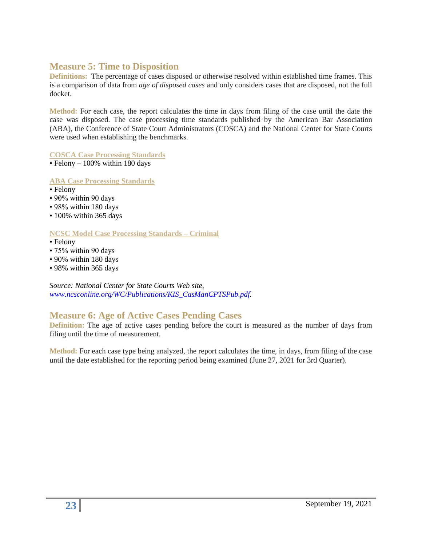### **Measure 5: Time to Disposition**

**Definitions:** The percentage of cases disposed or otherwise resolved within established time frames. This is a comparison of data from *age of disposed cases* and only considers cases that are disposed, not the full docket.

**Method:** For each case, the report calculates the time in days from filing of the case until the date the case was disposed. The case processing time standards published by the American Bar Association (ABA), the Conference of State Court Administrators (COSCA) and the National Center for State Courts were used when establishing the benchmarks.

**COSCA Case Processing Standards** 

 $\cdot$  Felony – 100% within 180 days

**ABA Case Processing Standards**

- Felony
- 90% within 90 days
- 98% within 180 days
- 100% within 365 days

#### **NCSC Model Case Processing Standards – Criminal**

- Felony
- 75% within 90 days
- 90% within 180 days
- 98% within 365 days

*Source: National Center for State Courts Web site, [www.ncsconline.org/WC/Publications/KIS\\_CasManCPTSPub.pdf.](http://www.ncsconline.org/WC/Publications/KIS_CasManCPTSPub.pdf)*

# **Measure 6: Age of Active Cases Pending Cases**

**Definition:** The age of active cases pending before the court is measured as the number of days from filing until the time of measurement.

**Method:** For each case type being analyzed, the report calculates the time, in days, from filing of the case until the date established for the reporting period being examined (June 27, 2021 for 3rd Quarter).